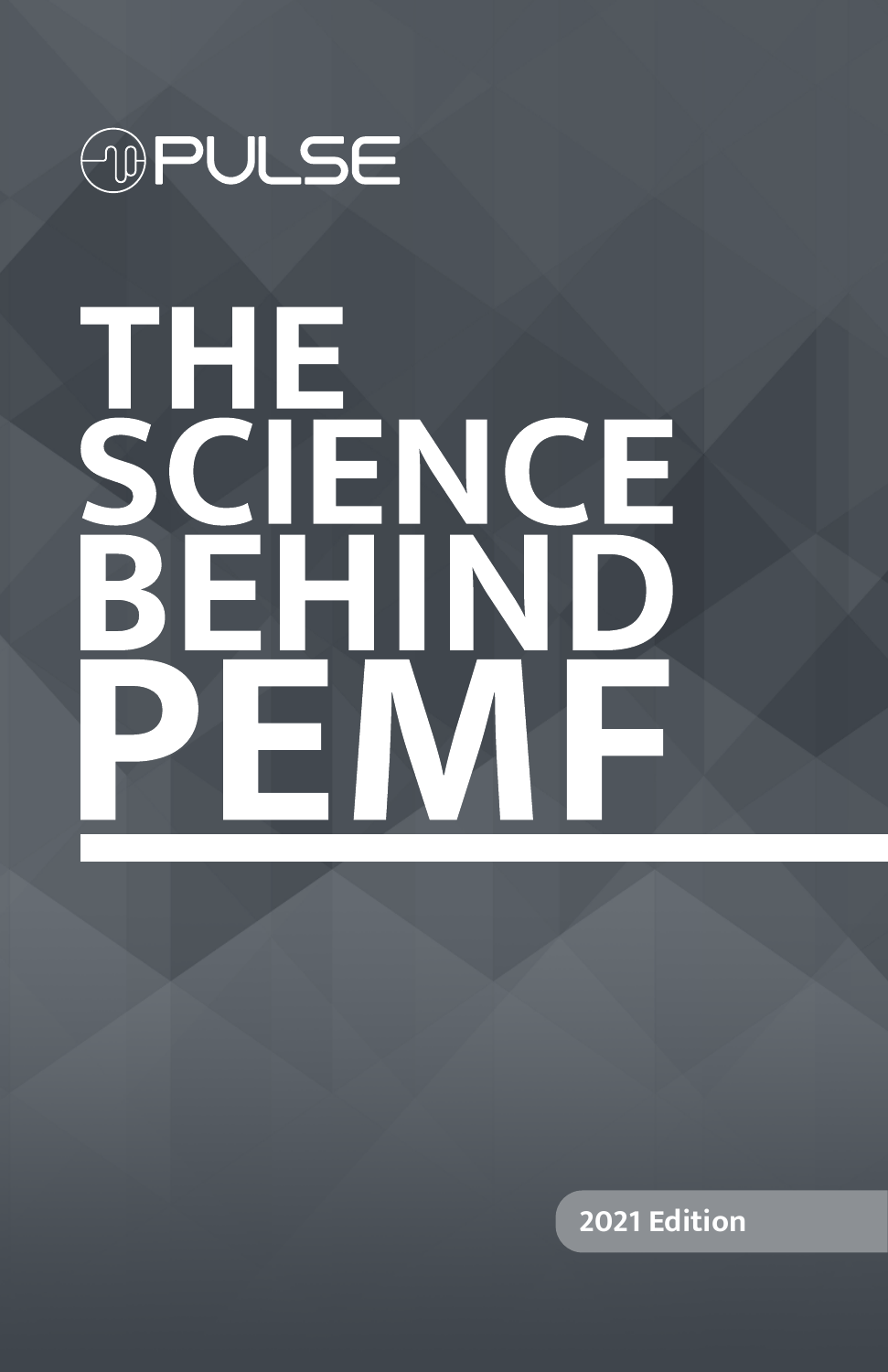

# THE<br>SCIENCE<br>BEHIND

**2021 Edition**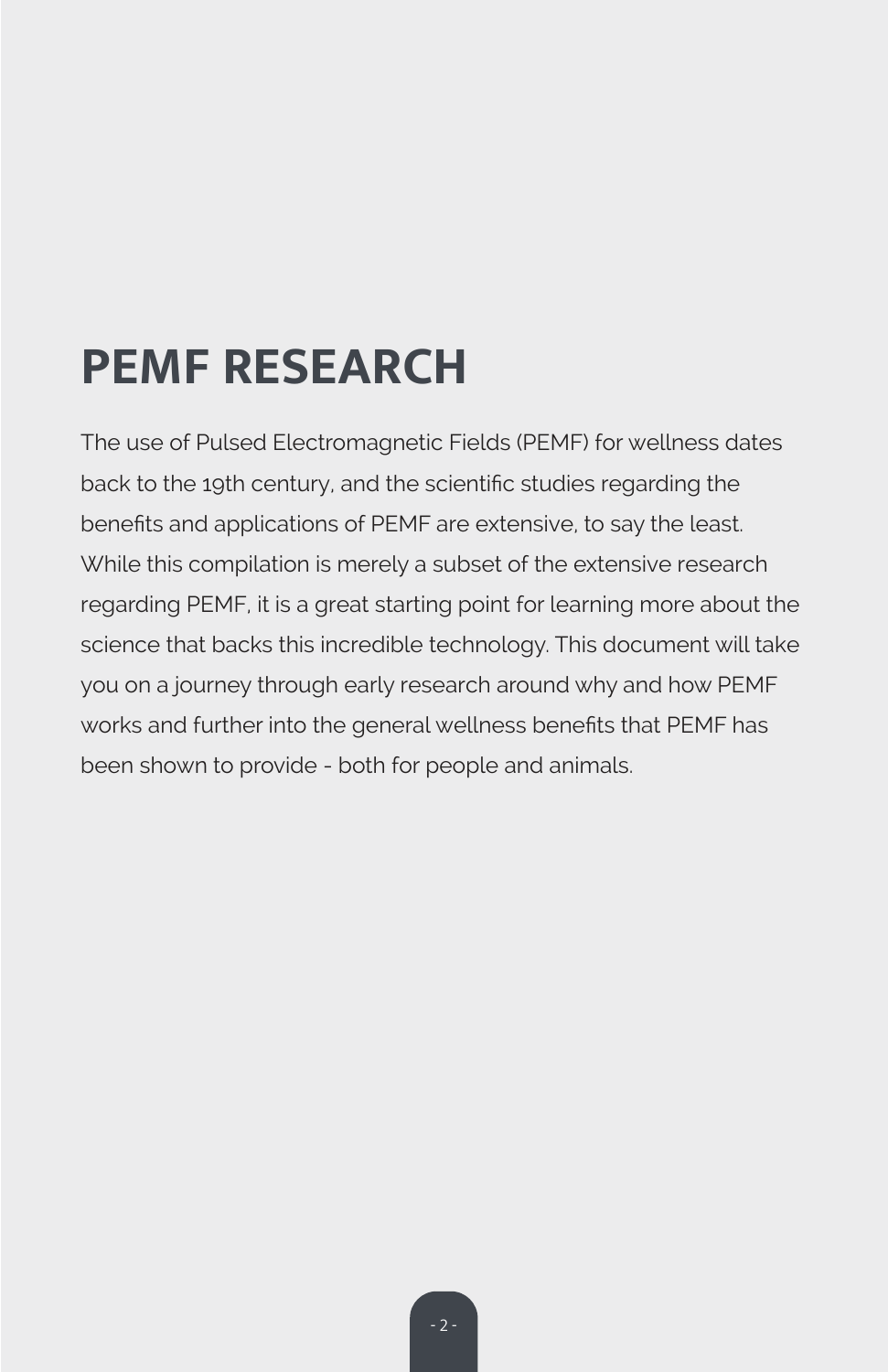# **PEMF RESEARCH**

The use of Pulsed Electromagnetic Fields (PEMF) for wellness dates back to the 19th century, and the scientific studies regarding the benefits and applications of PEMF are extensive, to say the least. While this compilation is merely a subset of the extensive research regarding PEMF, it is a great starting point for learning more about the science that backs this incredible technology. This document will take you on a journey through early research around why and how PEMF works and further into the general wellness benefits that PEMF has been shown to provide - both for people and animals.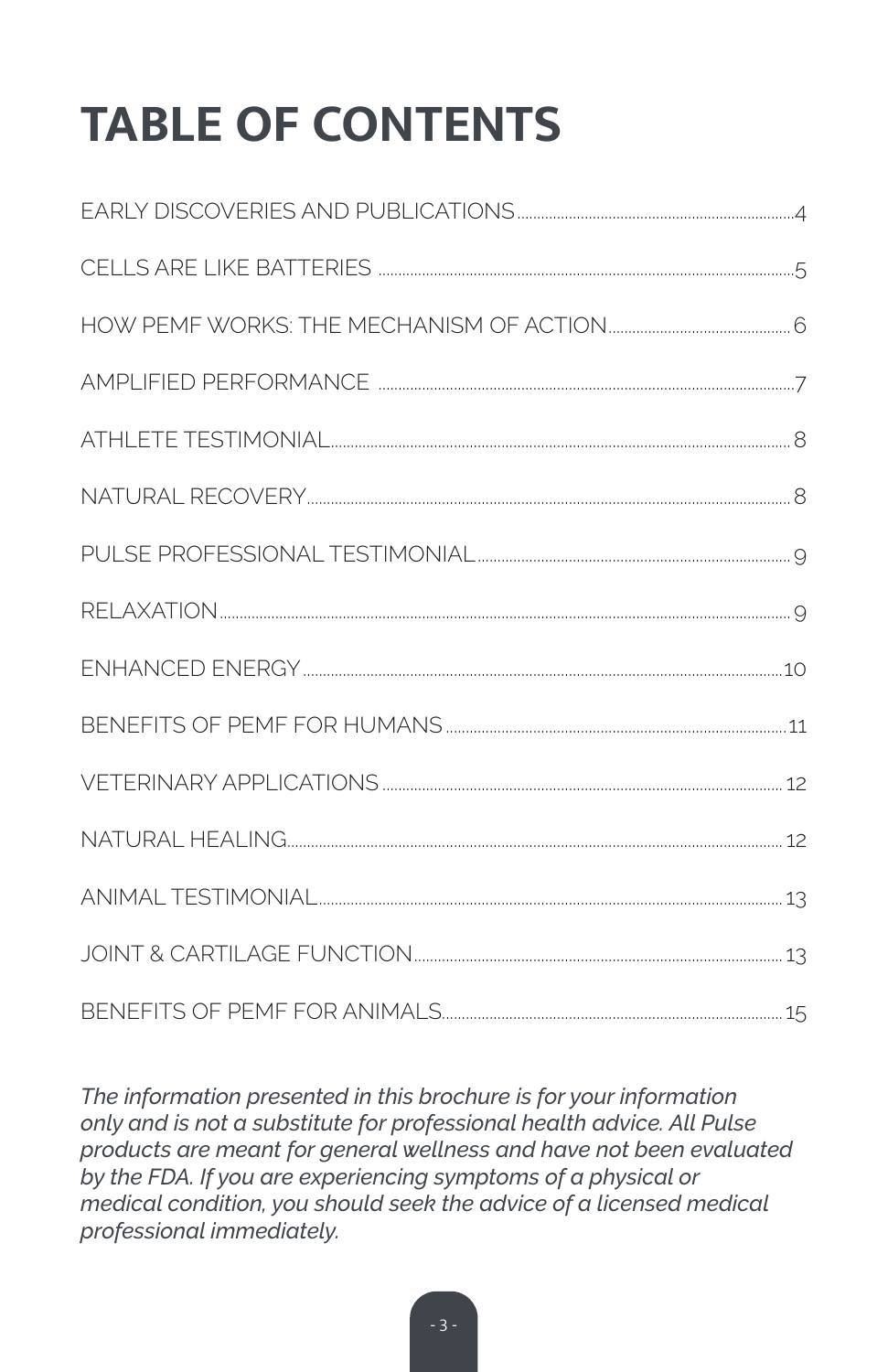# **TABLE OF CONTENTS**

| BENFFITS OF PEME FOR ANIMALS |  |
|------------------------------|--|

The information presented in this brochure is for your information only and is not a substitute for professional health advice. All Pulse products are meant for general wellness and have not been evaluated by the FDA. If you are experiencing symptoms of a physical or medical condition, you should seek the advice of a licensed medical professional immediately.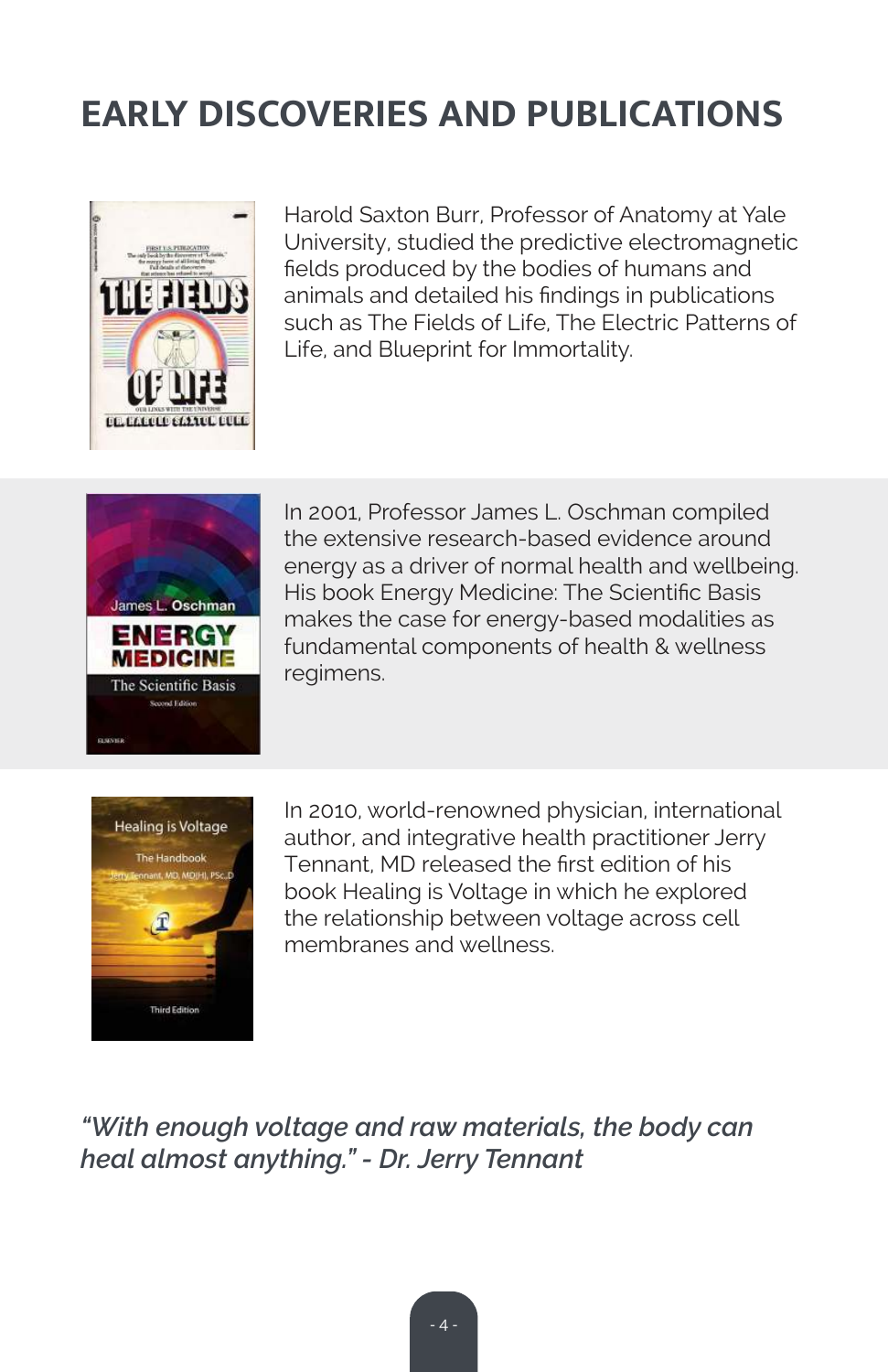# **EARLY DISCOVERIES AND PUBLICATIONS**



Harold Saxton Burr, Professor of Anatomy at Yale University, studied the predictive electromagnetic fields produced by the bodies of humans and animals and detailed his findings in publications such as The Fields of Life, The Electric Patterns of Life, and Blueprint for Immortality.



In 2001, Professor James L. Oschman compiled the extensive research-based evidence around energy as a driver of normal health and wellbeing. His book Energy Medicine: The Scientific Basis makes the case for energy-based modalities as fundamental components of health & wellness regimens.



In 2010, world-renowned physician, international author, and integrative health practitioner Jerry Tennant, MD released the first edition of his book Healing is Voltage in which he explored the relationship between voltage across cell membranes and wellness.

*"With enough voltage and raw materials, the body can heal almost anything." - Dr. Jerry Tennant*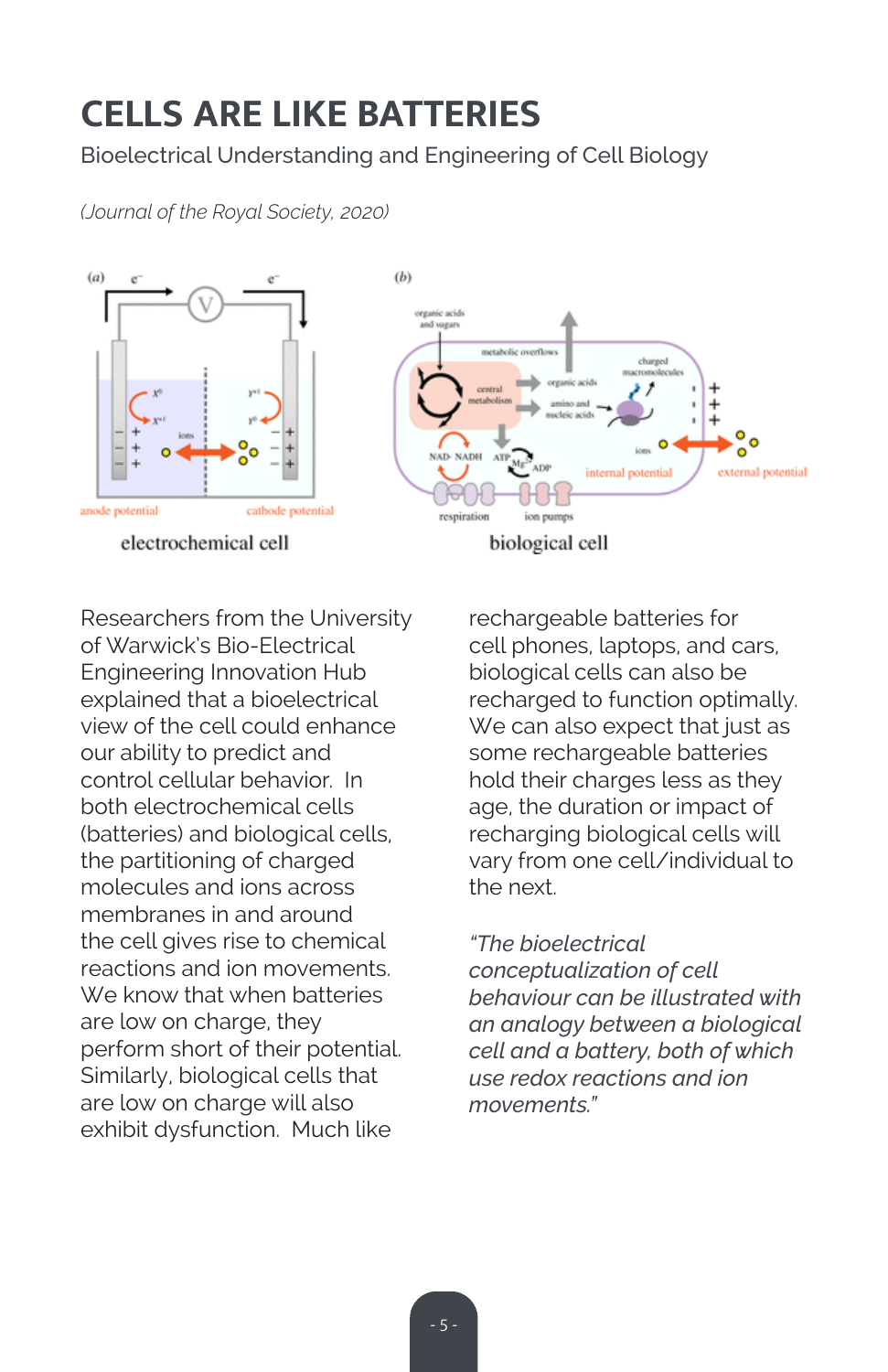# **CELLS ARE LIKE BATTERIES**

Bioelectrical Understanding and Engineering of Cell Biology

*(Journal of the Royal Society, 2020)*



Researchers from the University of Warwick's Bio-Electrical Engineering Innovation Hub explained that a bioelectrical view of the cell could enhance our ability to predict and control cellular behavior. In both electrochemical cells (batteries) and biological cells, the partitioning of charged molecules and ions across membranes in and around the cell gives rise to chemical reactions and ion movements. We know that when batteries are low on charge, they perform short of their potential. Similarly, biological cells that are low on charge will also exhibit dysfunction. Much like

rechargeable batteries for cell phones, laptops, and cars, biological cells can also be recharged to function optimally. We can also expect that just as some rechargeable batteries hold their charges less as they age, the duration or impact of recharging biological cells will vary from one cell/individual to the next.

*"The bioelectrical conceptualization of cell behaviour can be illustrated with an analogy between a biological cell and a battery, both of which use redox reactions and ion movements."*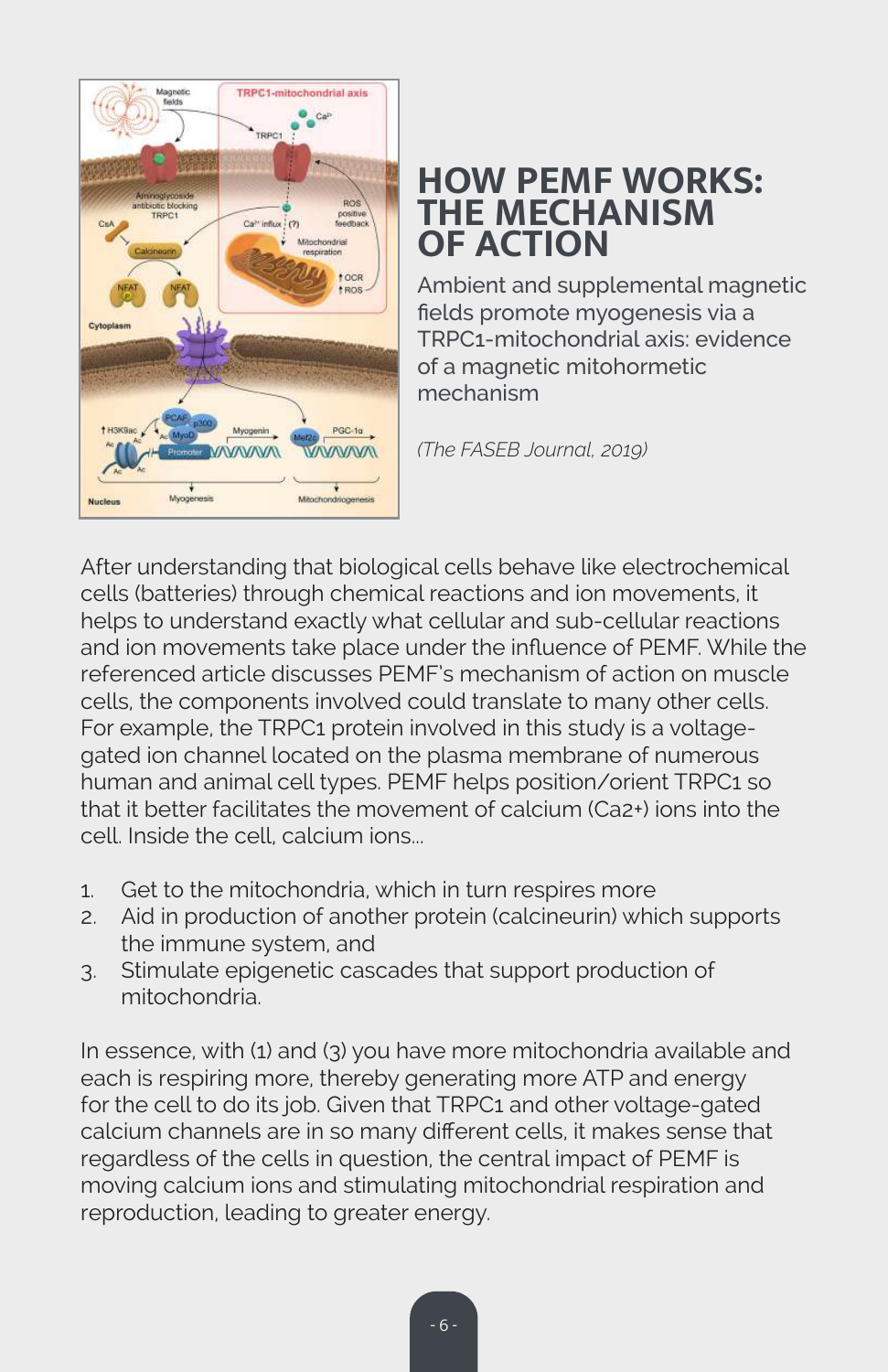

# **HOW PEMF WORKS: THE MECHANISM OF ACTION**

Ambient and supplemental magnetic fields promote myogenesis via a TRPC1-mitochondrial axis: evidence of a magnetic mitohormetic mechanism

*(The FASEB Journal, 2019)*

After understanding that biological cells behave like electrochemical cells (batteries) through chemical reactions and ion movements, it helps to understand exactly what cellular and sub-cellular reactions and ion movements take place under the influence of PEMF. While the referenced article discusses PEMF's mechanism of action on muscle cells, the components involved could translate to many other cells. For example, the TRPC1 protein involved in this study is a voltagegated ion channel located on the plasma membrane of numerous human and animal cell types. PEMF helps position/orient TRPC1 so that it better facilitates the movement of calcium (Ca2+) ions into the cell. Inside the cell, calcium ions...

- 1. Get to the mitochondria, which in turn respires more
- 2. Aid in production of another protein (calcineurin) which supports the immune system, and
- 3. Stimulate epigenetic cascades that support production of mitochondria.

In essence, with (1) and (3) you have more mitochondria available and each is respiring more, thereby generating more ATP and energy for the cell to do its job. Given that TRPC1 and other voltage-gated calcium channels are in so many different cells, it makes sense that regardless of the cells in question, the central impact of PEMF is moving calcium ions and stimulating mitochondrial respiration and reproduction, leading to greater energy.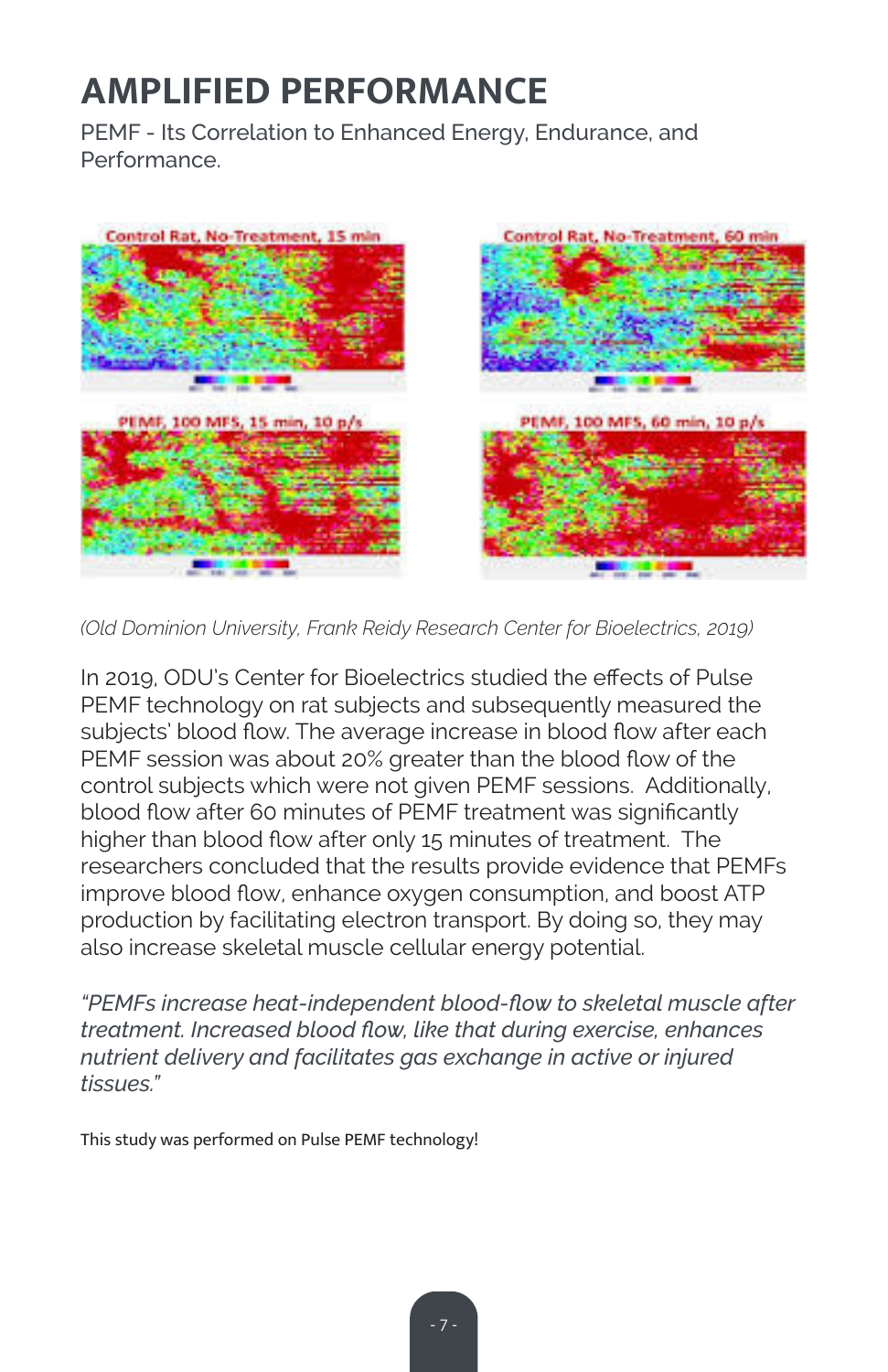# **AMPLIFIED PERFORMANCE**

PEMF - Its Correlation to Enhanced Energy, Endurance, and Performance.



*(Old Dominion University, Frank Reidy Research Center for Bioelectrics, 2019)*

In 2019, ODU's Center for Bioelectrics studied the effects of Pulse PEMF technology on rat subjects and subsequently measured the subjects' blood flow. The average increase in blood flow after each PEMF session was about 20% greater than the blood flow of the control subjects which were not given PEMF sessions. Additionally, blood flow after 60 minutes of PEMF treatment was significantly higher than blood flow after only 15 minutes of treatment. The researchers concluded that the results provide evidence that PEMFs improve blood flow, enhance oxygen consumption, and boost ATP production by facilitating electron transport. By doing so, they may also increase skeletal muscle cellular energy potential.

*"PEMFs increase heat-independent blood-flow to skeletal muscle after treatment. Increased blood flow, like that during exercise, enhances nutrient delivery and facilitates gas exchange in active or injured tissues."*

This study was performed on Pulse PEMF technology!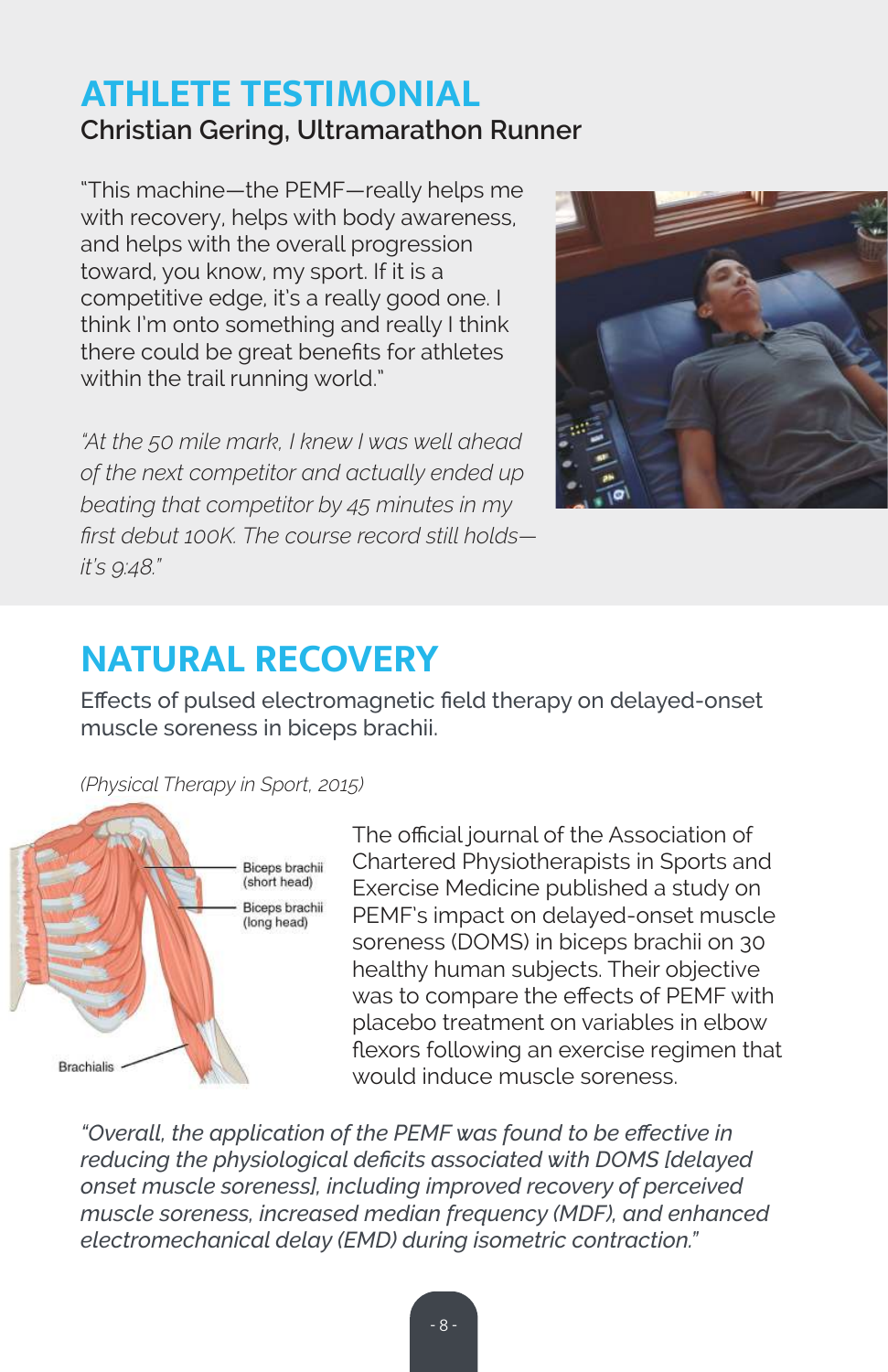# **ATHLETE TESTIMONIAL Christian Gering, Ultramarathon Runner**

"This machine—the PEMF—really helps me with recovery, helps with body awareness, and helps with the overall progression toward, you know, my sport. If it is a competitive edge, it's a really good one. I think I'm onto something and really I think there could be great benefits for athletes within the trail running world."

*"At the 50 mile mark, I knew I was well ahead of the next competitor and actually ended up beating that competitor by 45 minutes in my first debut 100K. The course record still holds it's 9:48."*



# **NATURAL RECOVERY**

Effects of pulsed electromagnetic field therapy on delayed-onset muscle soreness in biceps brachii.

*(Physical Therapy in Sport, 2015)*



The official journal of the Association of Chartered Physiotherapists in Sports and Exercise Medicine published a study on PEMF's impact on delayed-onset muscle soreness (DOMS) in biceps brachii on 30 healthy human subjects. Their objective was to compare the effects of PEMF with placebo treatment on variables in elbow flexors following an exercise regimen that would induce muscle soreness.

*"Overall, the application of the PEMF was found to be effective in reducing the physiological deficits associated with DOMS [delayed onset muscle soreness], including improved recovery of perceived muscle soreness, increased median frequency (MDF), and enhanced electromechanical delay (EMD) during isometric contraction."*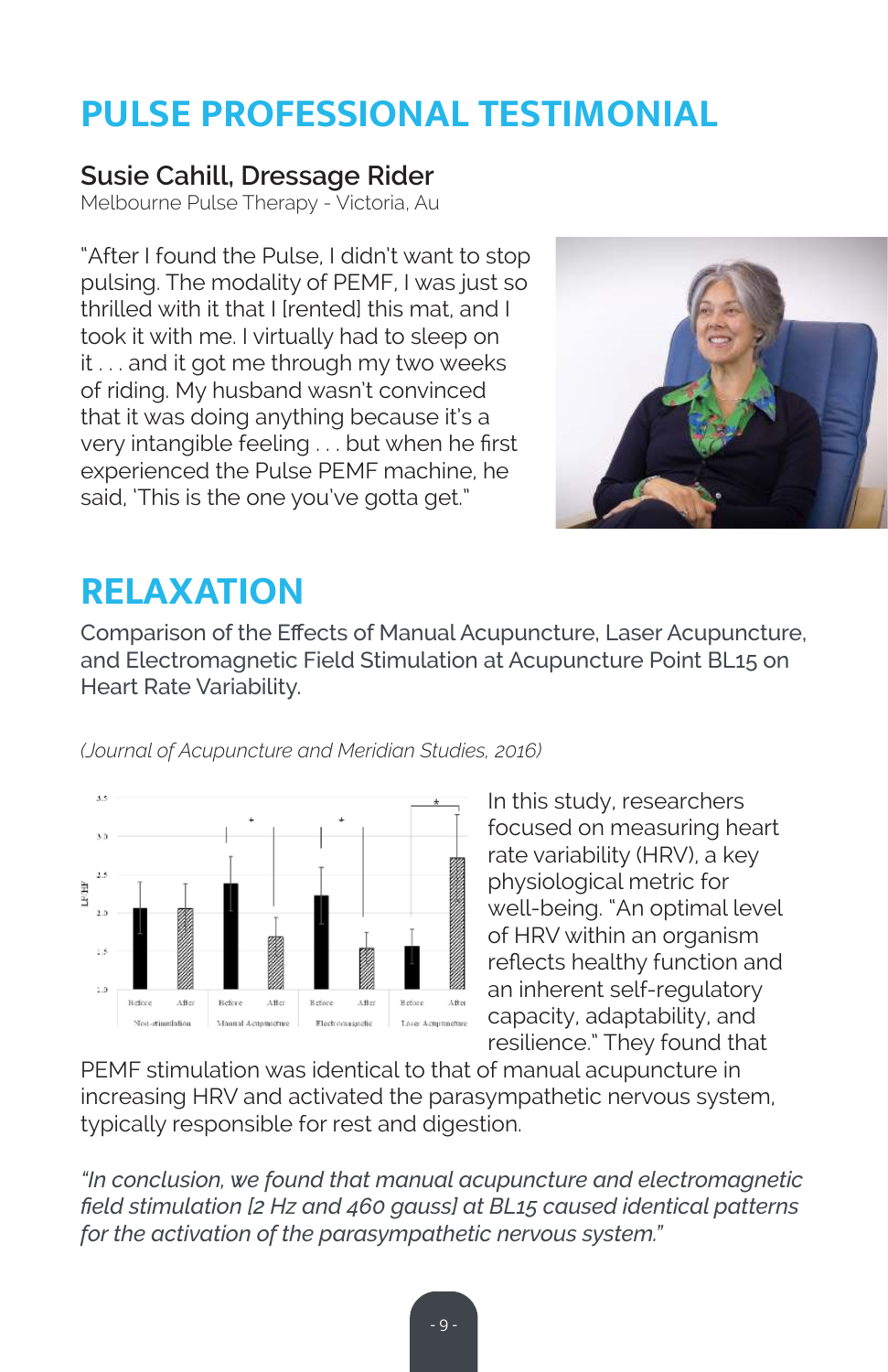# **PULSE PROFESSIONAL TESTIMONIAL**

### **Susie Cahill, Dressage Rider**

Melbourne Pulse Therapy - Victoria, Au

"After I found the Pulse, I didn't want to stop pulsing. The modality of PEMF, I was just so thrilled with it that I [rented] this mat, and I took it with me. I virtually had to sleep on it . . . and it got me through my two weeks of riding. My husband wasn't convinced that it was doing anything because it's a very intangible feeling . . . but when he first experienced the Pulse PEMF machine, he said, 'This is the one you've gotta get."



# **RELAXATION**

Comparison of the Effects of Manual Acupuncture, Laser Acupuncture, and Electromagnetic Field Stimulation at Acupuncture Point BL15 on Heart Rate Variability.



*(Journal of Acupuncture and Meridian Studies, 2016)*

In this study, researchers focused on measuring heart rate variability (HRV), a key physiological metric for well-being. "An optimal level of HRV within an organism reflects healthy function and an inherent self-regulatory capacity, adaptability, and resilience." They found that

PEMF stimulation was identical to that of manual acupuncture in increasing HRV and activated the parasympathetic nervous system, typically responsible for rest and digestion.

*"In conclusion, we found that manual acupuncture and electromagnetic field stimulation [2 Hz and 460 gauss] at BL15 caused identical patterns for the activation of the parasympathetic nervous system."*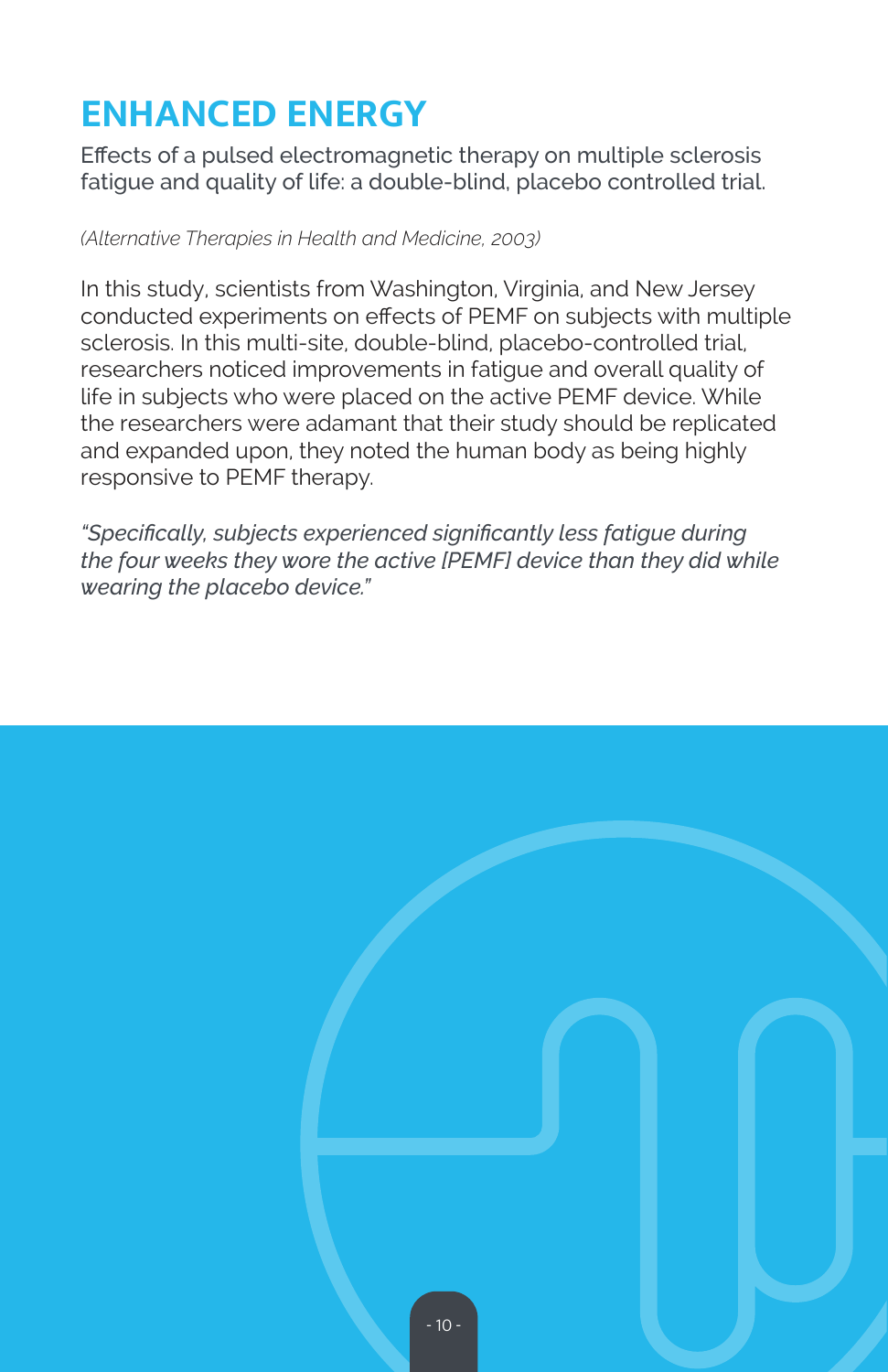# **ENHANCED ENERGY**

Effects of a pulsed electromagnetic therapy on multiple sclerosis fatigue and quality of life: a double-blind, placebo controlled trial.

### *(Alternative Therapies in Health and Medicine, 2003)*

In this study, scientists from Washington, Virginia, and New Jersey conducted experiments on effects of PEMF on subjects with multiple sclerosis. In this multi-site, double-blind, placebo-controlled trial, researchers noticed improvements in fatigue and overall quality of life in subjects who were placed on the active PEMF device. While the researchers were adamant that their study should be replicated and expanded upon, they noted the human body as being highly responsive to PEMF therapy.

*"Specifically, subjects experienced significantly less fatigue during the four weeks they wore the active [PEMF] device than they did while wearing the placebo device."*

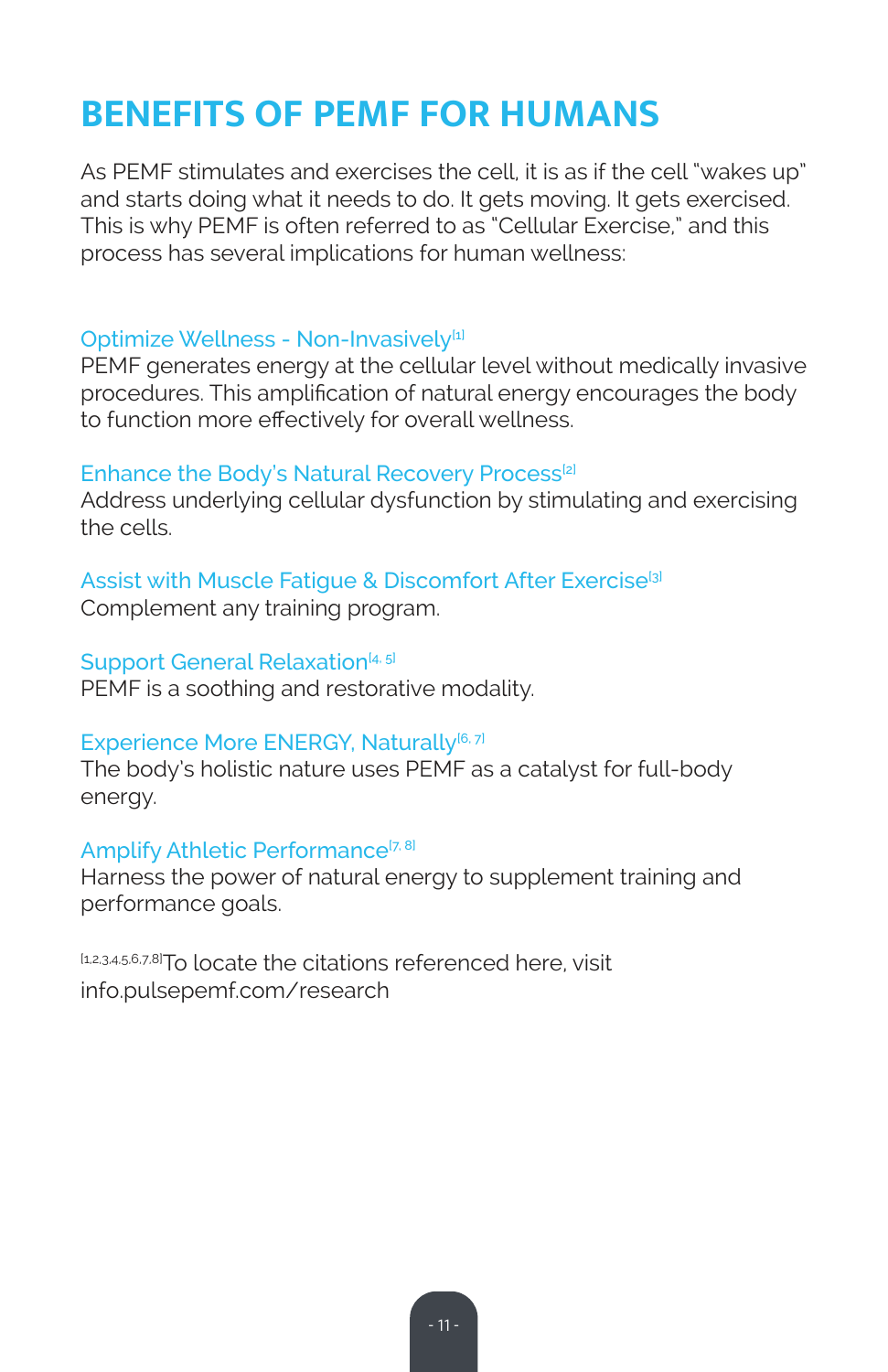# **BENEFITS OF PEMF FOR HUMANS**

As PEMF stimulates and exercises the cell, it is as if the cell "wakes up" and starts doing what it needs to do. It gets moving. It gets exercised. This is why PEMF is often referred to as "Cellular Exercise," and this process has several implications for human wellness:

### Optimize Wellness - Non-Invasively<sup>[1]</sup>

PEMF generates energy at the cellular level without medically invasive procedures. This amplification of natural energy encourages the body to function more effectively for overall wellness.

### Enhance the Body's Natural Recovery Process<sup>[2]</sup>

Address underlying cellular dysfunction by stimulating and exercising the cells.

## Assist with Muscle Fatique & Discomfort After Exercise<sup>[3]</sup>

Complement any training program.

### Support General Relaxation<sup>[4, 5]</sup>

PEMF is a soothing and restorative modality.

### Experience More ENERGY, Naturally<sup>[6, 7]</sup>

The body's holistic nature uses PEMF as a catalyst for full-body energy.

### Amplify Athletic Performance<sup>[7, 8]</sup>

Harness the power of natural energy to supplement training and performance goals.

[1,2,3,4,5,6,7,8]To locate the citations referenced here, visit info.pulsepemf.com/research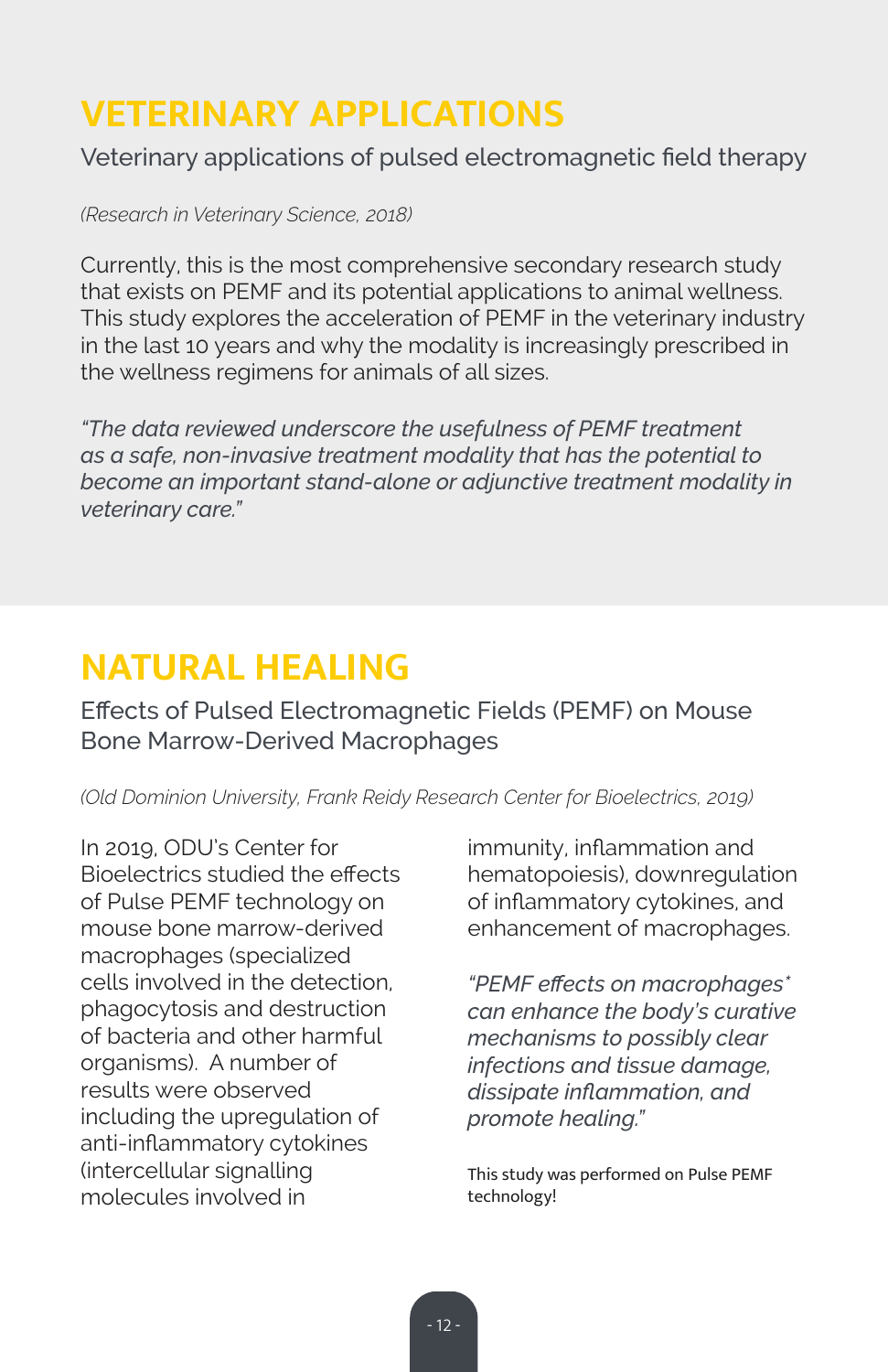# **VETERINARY APPLICATIONS**

Veterinary applications of pulsed electromagnetic field therapy

*(Research in Veterinary Science, 2018)*

Currently, this is the most comprehensive secondary research study that exists on PEMF and its potential applications to animal wellness. This study explores the acceleration of PEMF in the veterinary industry in the last 10 years and why the modality is increasingly prescribed in the wellness regimens for animals of all sizes.

*"The data reviewed underscore the usefulness of PEMF treatment as a safe, non-invasive treatment modality that has the potential to become an important stand-alone or adjunctive treatment modality in veterinary care."*

# **NATURAL HEALING**

Effects of Pulsed Electromagnetic Fields (PEMF) on Mouse Bone Marrow-Derived Macrophages

*(Old Dominion University, Frank Reidy Research Center for Bioelectrics, 2019)*

In 2019, ODU's Center for Bioelectrics studied the effects of Pulse PEMF technology on mouse bone marrow-derived macrophages (specialized cells involved in the detection, phagocytosis and destruction of bacteria and other harmful organisms). A number of results were observed including the upregulation of anti-inflammatory cytokines (intercellular signalling molecules involved in

immunity, inflammation and hematopoiesis), downregulation of inflammatory cytokines, and enhancement of macrophages.

*"PEMF effects on macrophages\* can enhance the body's curative mechanisms to possibly clear infections and tissue damage, dissipate inflammation, and promote healing."*

This study was performed on Pulse PEMF technology!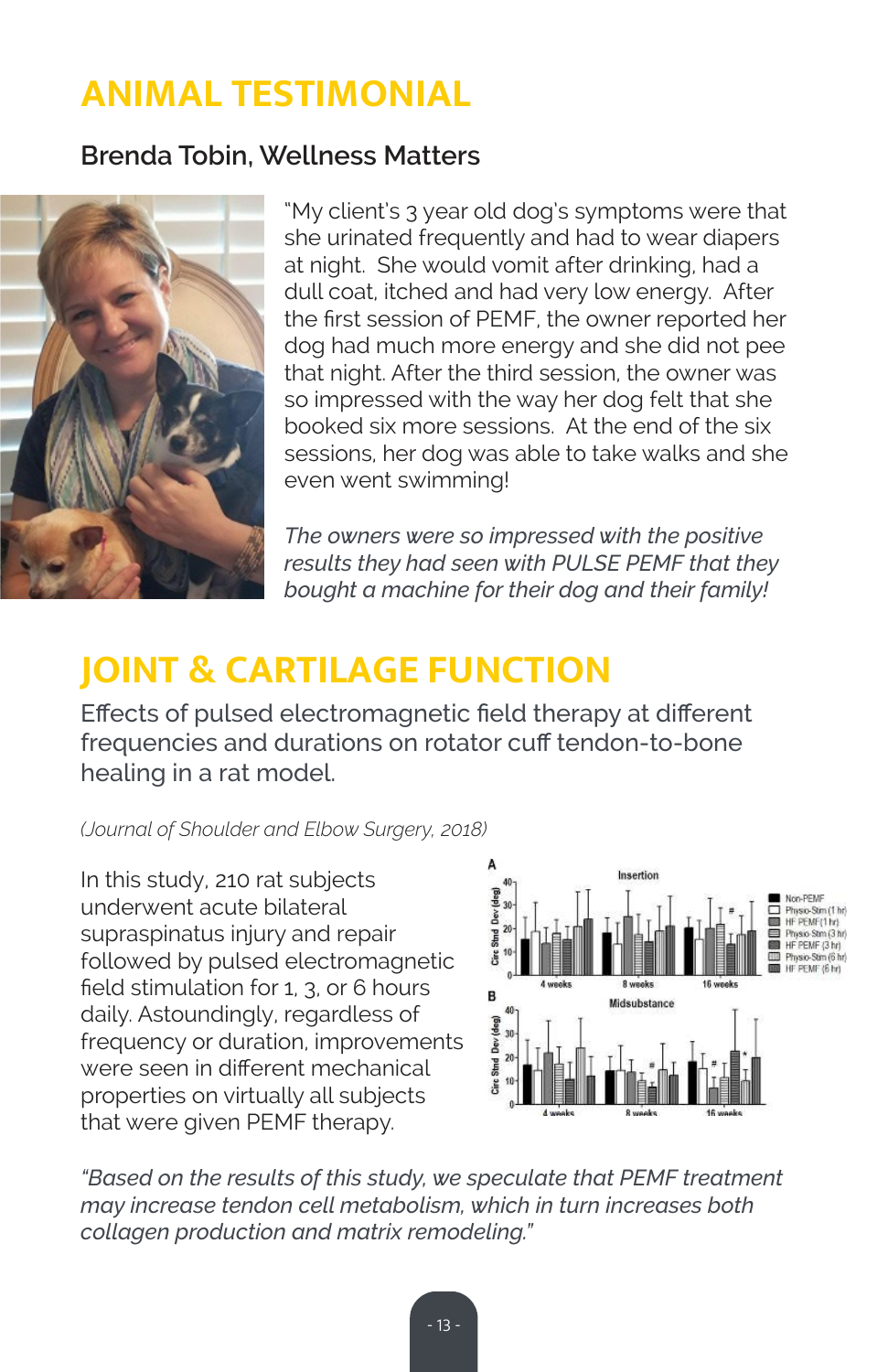# **ANIMAL TESTIMONIAL**

### **Brenda Tobin, Wellness Matters**



"My client's 3 year old dog's symptoms were that she urinated frequently and had to wear diapers at night. She would vomit after drinking, had a dull coat, itched and had very low energy. After the first session of PEMF, the owner reported her dog had much more energy and she did not pee that night. After the third session, the owner was so impressed with the way her dog felt that she booked six more sessions. At the end of the six sessions, her dog was able to take walks and she even went swimming!

*The owners were so impressed with the positive results they had seen with PULSE PEMF that they bought a machine for their dog and their family!*

# **JOINT & CARTILAGE FUNCTION**

Effects of pulsed electromagnetic field therapy at different frequencies and durations on rotator cuff tendon-to-bone healing in a rat model.

*(Journal of Shoulder and Elbow Surgery, 2018)*

In this study, 210 rat subjects underwent acute bilateral supraspinatus injury and repair followed by pulsed electromagnetic field stimulation for 1, 3, or 6 hours daily. Astoundingly, regardless of frequency or duration, improvements were seen in different mechanical properties on virtually all subjects that were given PEMF therapy.



*"Based on the results of this study, we speculate that PEMF treatment may increase tendon cell metabolism, which in turn increases both collagen production and matrix remodeling."*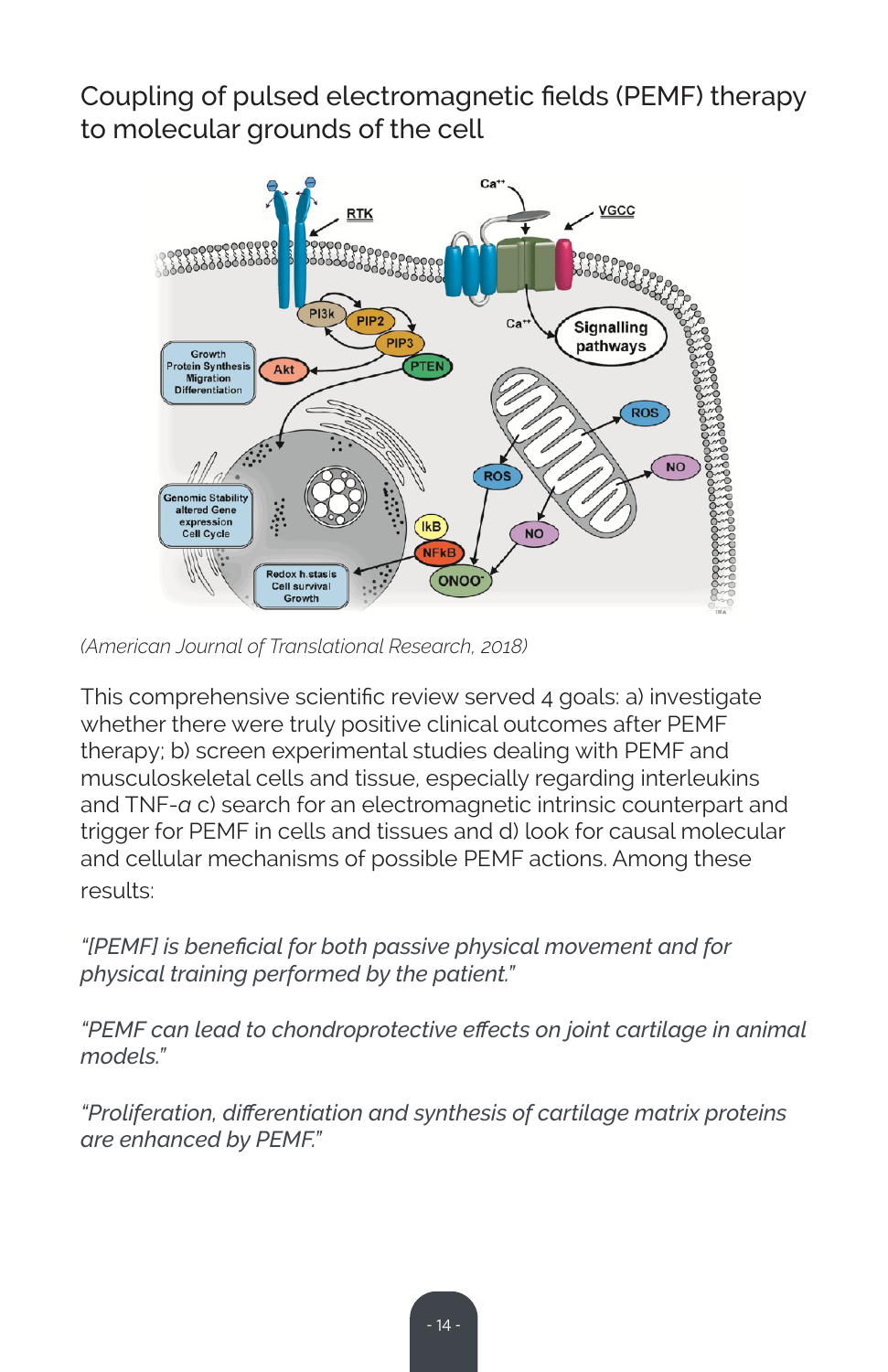Coupling of pulsed electromagnetic fields (PEMF) therapy to molecular grounds of the cell



*(American Journal of Translational Research, 2018)*

This comprehensive scientific review served 4 goals: a) investigate whether there were truly positive clinical outcomes after PEMF therapy; b) screen experimental studies dealing with PEMF and musculoskeletal cells and tissue, especially regarding interleukins and TNF-*a* c) search for an electromagnetic intrinsic counterpart and trigger for PEMF in cells and tissues and d) look for causal molecular and cellular mechanisms of possible PEMF actions. Among these results:

*"[PEMF] is beneficial for both passive physical movement and for physical training performed by the patient."*

*"PEMF can lead to chondroprotective effects on joint cartilage in animal models."*

*"Proliferation, differentiation and synthesis of cartilage matrix proteins are enhanced by PEMF."*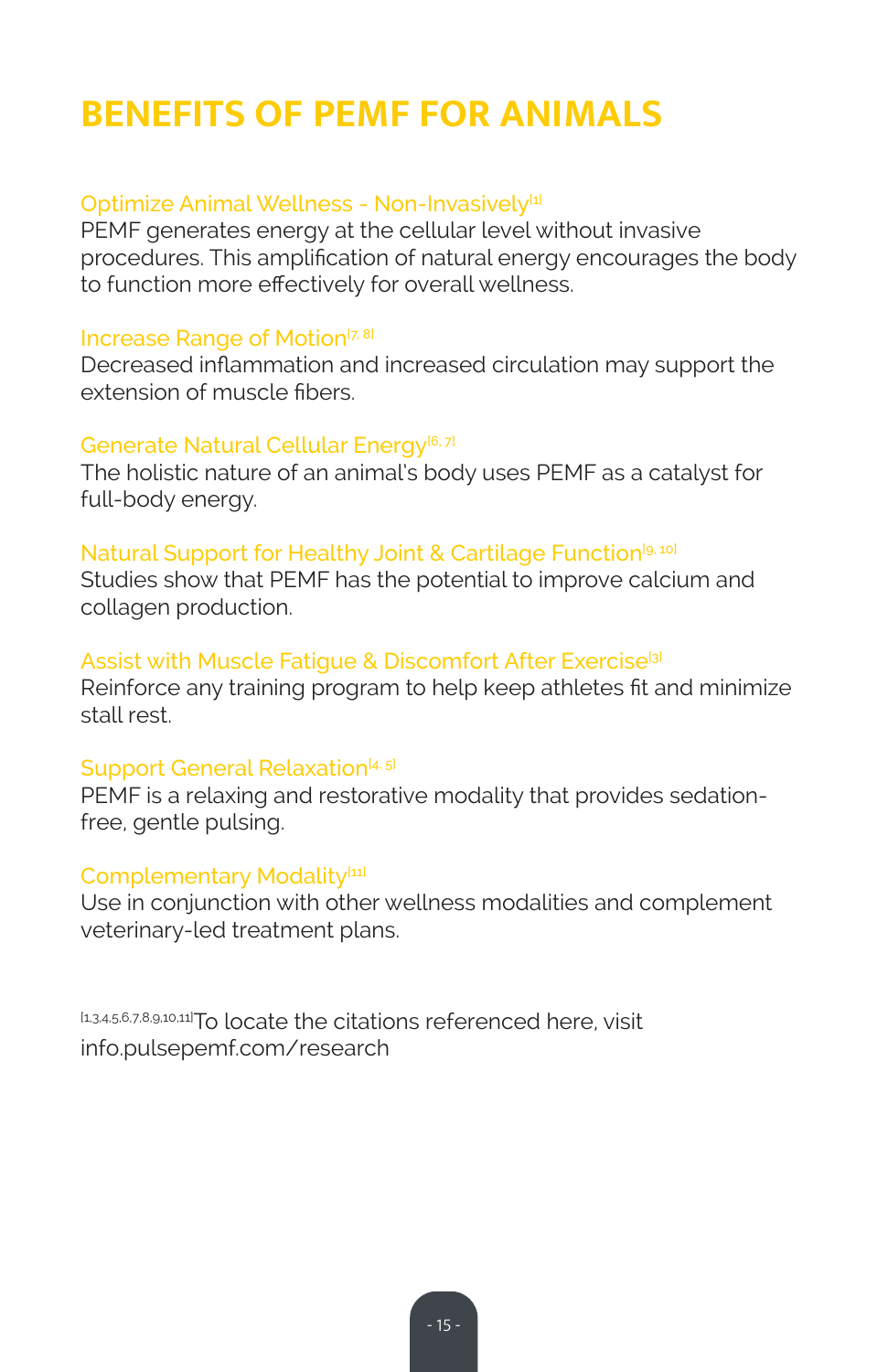# **BENEFITS OF PEMF FOR ANIMALS**

### Optimize Animal Wellness - Non-Invasively<sup>[1]</sup>

PEMF generates energy at the cellular level without invasive procedures. This amplification of natural energy encourages the body to function more effectively for overall wellness.

### Increase Range of Motion<sup>[7, 8]</sup>

Decreased inflammation and increased circulation may support the extension of muscle fibers.

### Generate Natural Cellular Energy<sup>[6, 7]</sup>

The holistic nature of an animal's body uses PEMF as a catalyst for full-body energy.

### Natural Support for Healthy Joint & Cartilage Function<sup>[9, 10]</sup>

Studies show that PEMF has the potential to improve calcium and collagen production.

### Assist with Muscle Fatique & Discomfort After Exercise<sup>[3]</sup>

Reinforce any training program to help keep athletes fit and minimize stall rest.

### Support General Relaxation<sup>[4, 5]</sup>

PEMF is a relaxing and restorative modality that provides sedationfree, gentle pulsing.

### Complementary Modality<sup>[11]</sup>

Use in conjunction with other wellness modalities and complement veterinary-led treatment plans.

[1,3,4,5,6,7,8,9,10,11]To locate the citations referenced here, visit info.pulsepemf.com/research